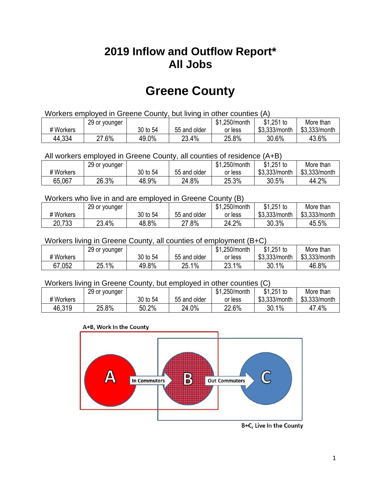## **2019 Inflow and Outflow Report\* All Jobs**

# **Greene County**

| Workers employed in Greene County, but living in other counties (A) |                                                           |          |              |         |               |               |  |  |  |
|---------------------------------------------------------------------|-----------------------------------------------------------|----------|--------------|---------|---------------|---------------|--|--|--|
|                                                                     | \$1.251 to<br>\$1.250/month<br>More than<br>29 or younger |          |              |         |               |               |  |  |  |
| # Workers                                                           |                                                           | 30 to 54 | 55 and older | or less | \$3.333/month | \$3,333/month |  |  |  |
| 44,334                                                              | 27.6%                                                     | 49.0%    | 23.4%        | 25.8%   | 30.6%         | 43.6%         |  |  |  |

All workers employed in Greene County, all counties of residence (A+B)

|           | 29 or younger |          |              | \$1,250/month | $$1,251$ to   | More than     |
|-----------|---------------|----------|--------------|---------------|---------------|---------------|
| # Workers |               | 30 to 54 | 55 and older | or less       | \$3,333/month | \$3,333/month |
| 65,067    | 26.3%         | 48.9%    | 24.8%        | 25.3%         | 30.5%         | 44.2%         |

#### Workers who live in and are employed in Greene County (B)

|           | 29 or younger |          |              | \$1,250/month | $$1,251$ to   | More than     |
|-----------|---------------|----------|--------------|---------------|---------------|---------------|
| # Workers |               | 30 to 54 | 55 and older | or less       | \$3,333/month | \$3,333/month |
| 20,733    | 23.4%         | 48.8%    | 27.8%        | 24.2%         | 30.3%         | 45.5%         |

#### Workers living in Greene County, all counties of employment (B+C)

|           | 29 or younger |          |              | \$1,250/month | \$1,251 to    | More than     |
|-----------|---------------|----------|--------------|---------------|---------------|---------------|
| # Workers |               | 30 to 54 | 55 and older | or less       | \$3,333/month | \$3,333/month |
| 67.052    | 25.1%         | 49.8%    | 25.1%        | 23.1%         | 30.1%         | 46.8%         |

#### Workers living in Greene County, but employed in other counties (C)

|           | 29 or younger |          |              | \$1,250/month | $$1,251$ to   | More than     |
|-----------|---------------|----------|--------------|---------------|---------------|---------------|
| # Workers |               | 30 to 54 | 55 and older | or less       | \$3,333/month | \$3,333/month |
| 46,319    | 25.8%         | 50.2%    | 24.0%        | 22.6%         | 30.1%         | .4%           |

#### A+B, Work In the County